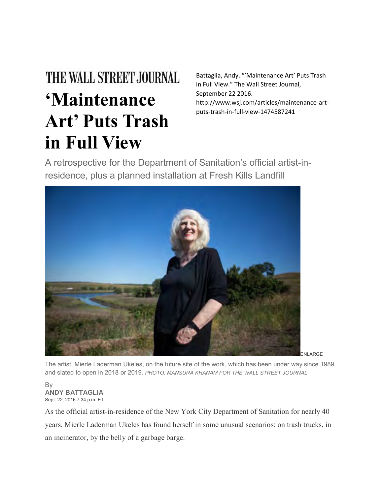## THE WALL STREET JOURNAL **'Maintenance Art' Puts Trash in Full View**

Battaglia, Andy. "'Maintenance Art' Puts Trash in Full View." The Wall Street Journal, September 22 2016. http://www.wsj.com/articles/maintenance-artputs-trash-in-full-view-1474587241

A retrospective for the Department of Sanitation's official artist-inresidence, plus a planned installation at Fresh Kills Landfill



The artist, Mierle Laderman Ukeles, on the future site of the work, which has been under way since 1989 and slated to open in 2018 or 2019. *PHOTO: MANSURA KHANAM FOR THE WALL STREET JOURNAL*

By **ANDY BATTAGLIA** Sept. 22, 2016 7:34 p.m. ET

As the official artist-in-residence of the New York City Department of Sanitation for nearly 40 years, Mierle Laderman Ukeles has found herself in some unusual scenarios: on trash trucks, in an incinerator, by the belly of a garbage barge.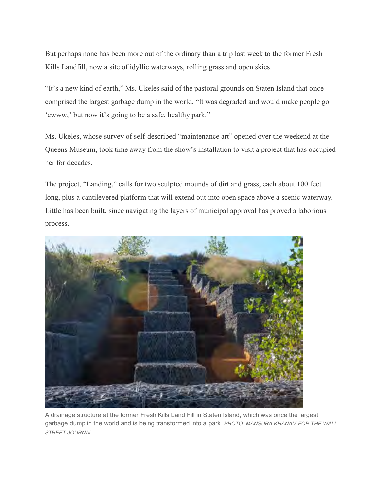But perhaps none has been more out of the ordinary than a trip last week to the former Fresh Kills Landfill, now a site of idyllic waterways, rolling grass and open skies.

"It's a new kind of earth," Ms. Ukeles said of the pastoral grounds on Staten Island that once comprised the largest garbage dump in the world. "It was degraded and would make people go 'ewww,' but now it's going to be a safe, healthy park."

Ms. Ukeles, whose survey of self-described "maintenance art" opened over the weekend at the Queens Museum, took time away from the show's installation to visit a project that has occupied her for decades.

The project, "Landing," calls for two sculpted mounds of dirt and grass, each about 100 feet long, plus a cantilevered platform that will extend out into open space above a scenic waterway. Little has been built, since navigating the layers of municipal approval has proved a laborious process.



A drainage structure at the former Fresh Kills Land Fill in Staten Island, which was once the largest garbage dump in the world and is being transformed into a park. *PHOTO: MANSURA KHANAM FOR THE WALL STREET JOURNAL*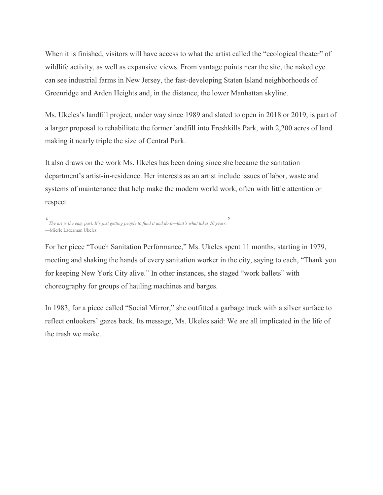When it is finished, visitors will have access to what the artist called the "ecological theater" of wildlife activity, as well as expansive views. From vantage points near the site, the naked eye can see industrial farms in New Jersey, the fast-developing Staten Island neighborhoods of Greenridge and Arden Heights and, in the distance, the lower Manhattan skyline.

Ms. Ukeles's landfill project, under way since 1989 and slated to open in 2018 or 2019, is part of a larger proposal to rehabilitate the former landfill into Freshkills Park, with 2,200 acres of land making it nearly triple the size of Central Park.

It also draws on the work Ms. Ukeles has been doing since she became the sanitation department's artist-in-residence. Her interests as an artist include issues of labor, waste and systems of maintenance that help make the modern world work, often with little attention or respect.

```
'
The art is the easy part. It's just getting people to fund it and do it—that's what takes 20 years.
'
—Mierle Laderman Ukeles
```
For her piece "Touch Sanitation Performance," Ms. Ukeles spent 11 months, starting in 1979, meeting and shaking the hands of every sanitation worker in the city, saying to each, "Thank you for keeping New York City alive." In other instances, she staged "work ballets" with choreography for groups of hauling machines and barges.

In 1983, for a piece called "Social Mirror," she outfitted a garbage truck with a silver surface to reflect onlookers' gazes back. Its message, Ms. Ukeles said: We are all implicated in the life of the trash we make.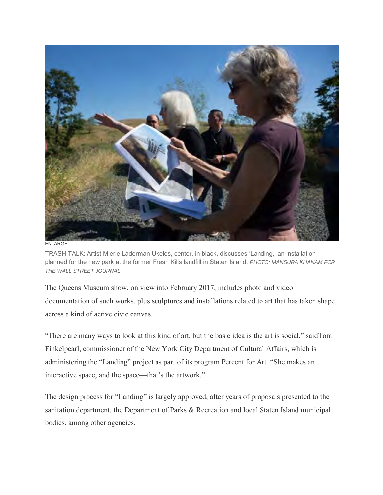

ENLARGE

TRASH TALK: Artist Mierle Laderman Ukeles, center, in black, discusses 'Landing,' an installation planned for the new park at the former Fresh Kills landfill in Staten Island. *PHOTO: MANSURA KHANAM FOR THE WALL STREET JOURNAL*

The Queens Museum show, on view into February 2017, includes photo and video documentation of such works, plus sculptures and installations related to art that has taken shape across a kind of active civic canvas.

"There are many ways to look at this kind of art, but the basic idea is the art is social," saidTom Finkelpearl, commissioner of the New York City Department of Cultural Affairs, which is administering the "Landing" project as part of its program Percent for Art. "She makes an interactive space, and the space—that's the artwork."

The design process for "Landing" is largely approved, after years of proposals presented to the sanitation department, the Department of Parks & Recreation and local Staten Island municipal bodies, among other agencies.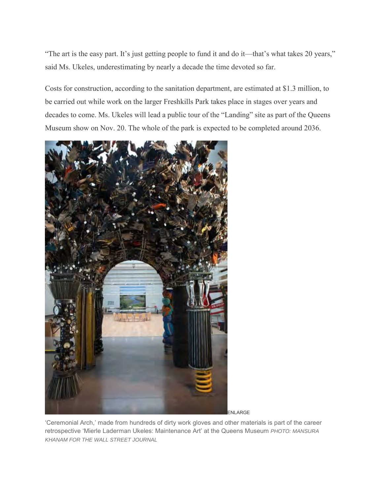"The art is the easy part. It's just getting people to fund it and do it—that's what takes 20 years," said Ms. Ukeles, underestimating by nearly a decade the time devoted so far.

Costs for construction, according to the sanitation department, are estimated at \$1.3 million, to be carried out while work on the larger Freshkills Park takes place in stages over years and decades to come. Ms. Ukeles will lead a public tour of the "Landing" site as part of the Queens Museum show on Nov. 20. The whole of the park is expected to be completed around 2036.



'Ceremonial Arch,' made from hundreds of dirty work gloves and other materials is part of the career retrospective 'Mierle Laderman Ukeles: Maintenance Art' at the Queens Museum *PHOTO: MANSURA KHANAM FOR THE WALL STREET JOURNAL*